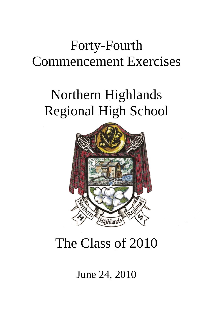# Forty-Fourth Commencement Exercises

# Northern Highlands Regional High School



# The Class of 2010

June 24, 2010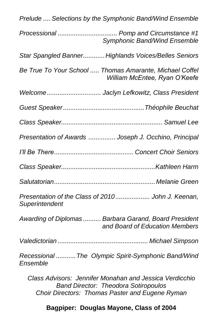| Prelude  Selections by the Symphonic Band/Wind Ensemble                                                                                                   |
|-----------------------------------------------------------------------------------------------------------------------------------------------------------|
| Processional  Pomp and Circumstance #1<br>Symphonic Band/Wind Ensemble                                                                                    |
| Star Spangled Banner Highlands Voices/Belles Seniors                                                                                                      |
| Be True To Your School  Thomas Amarante, Michael Coffel<br>William McEntee, Ryan O'Keefe                                                                  |
| Welcome Jaclyn Lefkowitz, Class President                                                                                                                 |
|                                                                                                                                                           |
|                                                                                                                                                           |
| Presentation of Awards  Joseph J. Occhino, Principal                                                                                                      |
|                                                                                                                                                           |
|                                                                                                                                                           |
|                                                                                                                                                           |
| Presentation of the Class of 2010 John J. Keenan,<br>Superintendent                                                                                       |
| Awarding of Diplomas  Barbara Garand, Board President<br>and Board of Education Members                                                                   |
|                                                                                                                                                           |
| Recessional  The Olympic Spirit-Symphonic Band/Wind<br>Ensemble                                                                                           |
| Class Advisors: Jennifer Monahan and Jessica Verdicchio<br><b>Band Director: Theodora Sotiropoulos</b><br>Choir Directors: Thomas Paster and Eugene Ryman |

# **Bagpiper: Douglas Mayone, Class of 2004**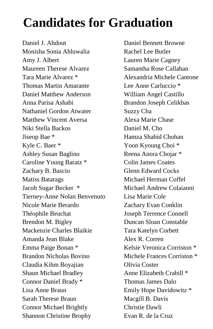# **Candidates for Graduation**

Daniel J. Ahdout Monisha Sonia Ahluwalia Amy J. Albert Maureen Therese Alvarez Tara Marie Alvarez \* Thomas Martin Amarante Daniel Matthew Anderson Anna Parisa Ashabi Nathaniel Gordon Atwater Matthew Vincent Aversa Niki Stella Backos Jiseop Bae \* Kyle C. Baer \* Ashley Susan Baglino Caroline Young Baratz \* Zachary B. Bascio Matiss Batarags Jacob Sugar Becker \* Tierney-Anne Nolan Benvenuto Nicole Marie Berardo Théophile Beuchat Brendon M. Bigley Mackenzie Charles Blaikie Amanda Jean Blake Emma Paige Bonan \* Brandon Nicholas Bovino Claudia Kihm Boyajian Shaun Michael Bradley Connor Daniel Brady \* Lisa Anne Braun Sarah Therese Braun Connor Michael Brightly Shannon Christine Brophy

Daniel Bennett Browne Rachel Lee Butler Lauren Marie Cagney Samantha Rose Callahan Alexandria Michele Cantone Lee Anne Carluccio \* William Angel Castillo Brandon Joseph Celikbas Suzzy Cha Alexa Marie Chase Daniel M. Cho Hamza Shahid Chohan Yoon Kyoung Choi \* Reena Anora Chojar \* Colin James Coates Glenn Edward Cocks Michael Herman Coffel Michael Andrew Colaianni Lisa Marie Cole Zachary Evan Conklin Joseph Terrence Connell Duncan Sloan Constable Tara Katelyn Corbett Alex R. Corren Kelsie Veronica Corriston \* Michele Frances Corriston \* Olivia Coster Anne Elizabeth Crabill \* Thomas James Dalo Emily Hope Davidowitz \* Macgill B. Davis Christie Dawli Evan R. de la Cruz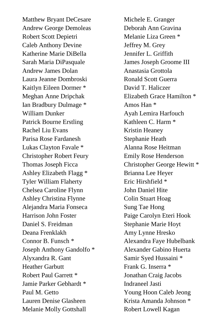Matthew Bryant DeCesare Andrew George Demoleas Robert Scott Depietri Caleb Anthony Devine Katherine Marie DiBella Sarah Maria DiPasquale Andrew James Dolan Laura Jeanne Dombroski Kaitlyn Eileen Dormer \* Meghan Anne Dripchak Ian Bradbury Dulmage \* William Dunker Patrick Bourne Erstling Rachel Liu Evans Parisa Rose Fardanesh Lukas Clayton Favale \* Christopher Robert Feury Thomas Joseph Ficca Ashley Elizabeth Flagg \* Tyler William Flaherty Chelsea Caroline Flynn Ashley Christina Flynne Alejandra Maria Fonseca Harrison John Foster Daniel S. Freidman Deana Frenklakh Connor B. Funsch \* Joseph Anthony Gandolfo \* Alyxandra R. Gant Heather Garbutt Robert Paul Garrett \* Jamie Parker Gebhardt \* Paul M. Getto Lauren Denise Glasheen Melanie Molly Gottshall

Michele E. Granger Deborah Ann Gravina Melanie Liza Green \* Jeffrey M. Grey Jennifer L. Griffith James Joseph Groome III Anastasia Grottola Ronald Scott Guerra David T. Haliczer Elizabeth Grace Hamilton \* Amos Han \* Ayah Lemira Harfouch Kathleen C. Harm \* Kristin Heaney Stephanie Heath Alanna Rose Heitman Emily Rose Henderson Christopher George Hewitt \* Brianna Lee Heyer Eric Hirshfield \* John Daniel Hite Colin Stuart Hoag Sung Tae Hong Paige Carolyn Eteri Hook Stephanie Marie Hoyt Amy Lynne Hresko Alexandra Faye Hubelbank Alexander Gabino Huerta Samir Syed Hussaini \* Frank G. Inserra \* Jonathan Craig Jacobs Indraneel Jasti Young Hoon Caleb Jeong Krista Amanda Johnson \* Robert Lowell Kagan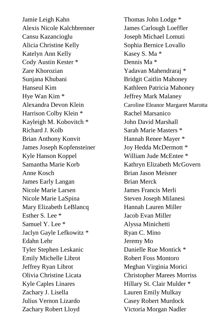Jamie Leigh Kahn Alexis Nicole Kalchbrenner Cansu Kazancioglu Alicia Christine Kelly Katelyn Ann Kelly Cody Austin Kester \* Zare Khorozian Sunjana Khubani Hanseul Kim Hye Wan Kim \* Alexandra Devon Klein Harrison Colby Klein \* Kayleigh M. Kobovitch \* Richard J. Kolb Brian Anthony Konvit James Joseph Kopfensteiner Kyle Hanson Koppel Samantha Marie Korb Anne Kosch James Early Langan Nicole Marie Larsen Nicole Marie LaSpina Mary Elizabeth LeBlancq Esther S. Lee \* Samuel Y. Lee \* Jaclyn Gayle Lefkowitz \* Edahn Lehr Tyler Stephen Leskanic Emily Michelle Librot Jeffrey Ryan Librot Olivia Christine Licata Kyle Caples Linares Zachary J. Lisella Julius Vernon Lizardo Zachary Robert Lloyd

Thomas John Lodge \* James Carlough Loeffler Joseph Michael Lomuti Sophia Bernice Lovallo Kasey S. Ma \* Dennis Ma \* Yadavan Mahendraraj \* Bridgit Caitlin Mahoney Kathleen Patricia Mahoney Jeffrey Mark Malaney Caroline Eleanor Margaret Marotta Rachel Marsanico John David Marshall Sarah Marie Masters \* Hannah Renee Mayer \* Joy Hedda McDermott \* William Jude McEntee \* Kathryn Elizabeth McGovern Brian Jason Meisner Brian Merck James Francis Merli Steven Joseph Milanesi Hannah Lauren Miller Jacob Evan Miller Alyssa Minichetti Ryan C. Mino Jeremy Mo Danielle Rue Montick \* Robert Foss Montoro Meghan Virginia Morici Christopher Marees Morriss Hillary St. Clair Mulder \* Lauren Emily Mulkay Casey Robert Murdock Victoria Morgan Nadler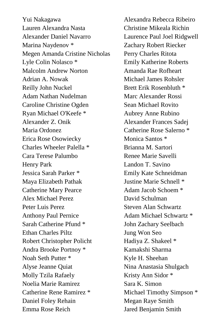Yui Nakagawa Lauren Alexandra Nasta Alexander Daniel Navarro Marina Naydenov \* Megen Amanda Cristine Nicholas Lyle Colin Nolasco \* Malcolm Andrew Norton Adrian A. Nowak Reilly John Nuckel Adam Nathan Nudelman Caroline Christine Ogden Ryan Michael O'Keefe \* Alexander Z. Onik Maria Ordonez Erica Rose Osowiecky Charles Wheeler Palella \* Cara Terese Palumbo Henry Park Jessica Sarah Parker \* Maya Elizabeth Pathak Catherine Mary Pearce Alex Michael Perez Peter Luis Perez Anthony Paul Pernice Sarah Catherine Pfund \* Ethan Charles Piltz Robert Christopher Policht Andra Brooke Portnoy \* Noah Seth Putter \* Alyse Jeanne Quiat Molly Tzila Rafaely Noelia Marie Ramirez Catherine Rene Ramirez \* Daniel Foley Rehain Emma Rose Reich

Alexandra Rebecca Ribeiro Christine Mikeala Richin Laurence Paul Joel Ridgwell Zachary Robert Riecker Perry Charles Ritota Emily Katherine Roberts Amanda Rae Rofheart Michael James Rohsler Brett Erik Rosenbluth \* Marc Alexander Rossi Sean Michael Rovito Aubrey Anne Rubino Alexander Frances Sadej Catherine Rose Salerno \* Monica Santos \* Brianna M. Sartori Renee Marie Savelli Landon T. Savino Emily Kate Schneidman Justine Marie Schnell \* Adam Jacob Schoem \* David Schulman Steven Alan Schwartz Adam Michael Schwartz \* John Zachary Seelbach Jung Won Seo Hadiya Z. Shakeel \* Kamakshi Sharma Kyle H. Sheehan Nina Anastasia Shulgach Kristy Ann Sidor \* Sara K. Simon Michael Timothy Simpson \* Megan Raye Smith Jared Benjamin Smith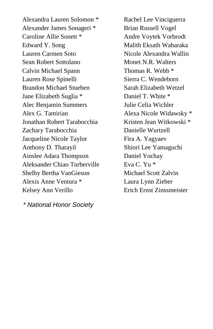Alexandra Lauren Solomon \* Alexander James Sonageri \* Caroline Allie Sonett \* Edward Y. Song Lauren Carmen Soto Sean Robert Sottolano Calvin Michael Spann Lauren Rose Spinelli Brandon Michael Stueben Jane Elizabeth Suglia \* Alec Benjamin Summers Alex G. Tamirian Jonathan Robert Tarabocchia Zachary Tarabocchia Jacqueline Nicole Taylor Anthony D. Tharayil Ainslee Adara Thompson Aleksander Chiao Turberville Shelby Bertha VanGieson Alexis Anne Ventura \* Kelsey Ann Verillo

*\* National Honor Society*

Rachel Lee Vinciguerra Brian Russell Vogel Andre Voytek Vorbrodt Malith Eksath Waharaka Nicole Alexandra Wallin Monet N.R. Walters Thomas R. Webb \* Sierra C. Wendeborn Sarah Elizabeth Wetzel Daniel T. White \* Julie Celia Wichler Alexa Nicole Widawsky \* Kristen Jean Witkowski \* Danielle Wurtzell Fira A. Yagyaev Shiori Lee Yamaguchi Daniel Yochay Eva C. Yu \* Michael Scott Zalvin Laura Lynn Zieber Erich Ernst Zinssmeister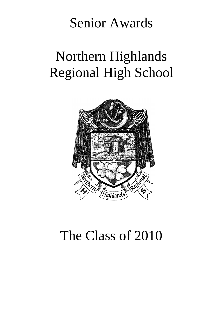# Senior Awards

# Northern Highlands Regional High School



# The Class of 2010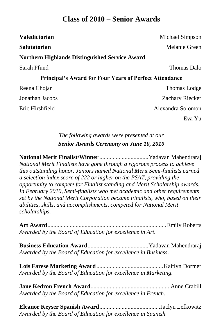# **Class of 2010 – Senior Awards**

| <b>Valedictorian</b>                                          | Michael Simpson     |
|---------------------------------------------------------------|---------------------|
| <b>Salutatorian</b>                                           | Melanie Green       |
| <b>Northern Highlands Distinguished Service Award</b>         |                     |
| Sarah Pfund                                                   | <b>Thomas Dalo</b>  |
| <b>Principal's Award for Four Years of Perfect Attendance</b> |                     |
| Reena Chojar                                                  | <b>Thomas Lodge</b> |
| Jonathan Jacobs                                               | Zachary Riecker     |
| Eric Hirshfield                                               | Alexandra Solomon   |
|                                                               | Eva Yu              |

# *The following awards were presented at our Senior Awards Ceremony on June 10, 2010*

**National Merit Finalist/Winner** .................................Yadavan Mahendraraj *National Merit Finalists have gone through a rigorous process to achieve this outstanding honor. Juniors named National Merit Semi-finalists earned a selection index score of 222 or higher on the PSAT, providing the opportunity to compete for Finalist standing and Merit Scholarship awards. In February 2010, Semi-finalists who met academic and other requirements set by the National Merit Corporation became Finalists, who, based on their abilities, skills, and accomplishments, competed for National Merit scholarships*.

**Art Award**................................................................................Emily Roberts *Awarded by the Board of Education for excellence in Art.*

**Business Education Award**.........................................Yadavan Mahendraraj *Awarded by the Board of Education for excellence in Business*.

**Lois Farese Marketing Award**.............................................Kaitlyn Dormer *Awarded by the Board of Education for excellence in Marketing.*

**Jane Kedron French Award**..................................................... Anne Crabill *Awarded by the Board of Education for excellence in French.*

**Eleanor Keyser Spanish Award**.........................................Jaclyn Lefkowitz *Awarded by the Board of Education for excellence in Spanish.*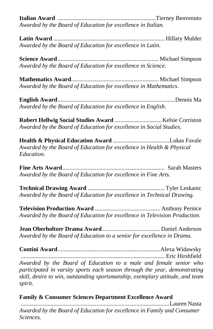**Italian Award** ..................................................................Tierney Benvenuto *Awarded by the Board of Education for excellence in Italian.*

**Latin Award** ........................................................................... Hillary Mulder *Awarded by the Board of Education for excellence in Latin.*

**Science Award** .................................................................... Michael Simpson *Awarded by the Board of Education for excellence in Science.*

**Mathematics Award**........................................................... Michael Simpson *Awarded by the Board of Education for excellence in Mathematics.*

**English Award**...............................................................................Dennis Ma *Awarded by the Board of Education for excellence in English.*

**Robert Hellwig Social Studies Award** ................................Kelsie Corriston *Awarded by the Board of Education for excellence in Social Studies.*

**Health & Physical Education Award** ......................................Lukas Favale *Awarded by the Board of Education for excellence in Health & Physical Education.*

**Fine Arts Award**..................................................................... Sarah Masters *Awarded by the Board of Education for excellence in Fine Arts.*

**Technical Drawing Award** .................................................... Tyler Leskanic *Awarded by the Board of Education for excellence in Technical Drawing.*

**Television Production Award** ............................................ Anthony Pernice *Awarded by the Board of Education for excellence in Television Production.*

**Jean Oberholtzer Drama Award**.......................................Daniel Anderson *Awarded by the Board of Education to a senior for excellence in Drama.*

**Contini Award**.....................................................................Alexa Widawsky ................................................................................................. Eric Hirshfield *Awarded by the Board of Education to a male and female senior who participated in varsity sports each season through the year, demonstrating skill, desire to win, outstanding sportsmanship, exemplary attitude, and team spirit.*

**Family & Consumer Sciences Department Excellence Award**

....................................................................................................Lauren Nasta *Awarded by the Board of Education for excellence in Family and Consumer Sciences.*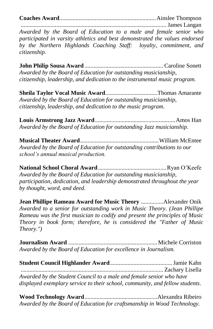**Coaches Award**.................................................................Ainslee Thompson

.................................................................................................. James Langan *Awarded by the Board of Education to a male and female senior who participated in varsity athletics and best demonstrated the values endorsed by the Northern Highlands Coaching Staff: loyalty, commitment, and citizenship.*

**John Philip Sousa Award** ..................................................... Caroline Sonett *Awarded by the Board of Education for outstanding musicianship, citizenship, leadership, and dedication to the instrumental music program.* 

**Sheila Taylor Vocal Music Award**...................................Thomas Amarante *Awarded by the Board of Education for outstanding musicianship, citizenship, leadership, and dedication to the music program.*

**Louis Armstrong Jazz Award**......................................................Amos Han *Awarded by the Board of Education for outstanding Jazz musicianship.*

**Musical Theater Award**.....................................................William McEntee *Awarded by the Board of Education for outstanding contributions to our school's annual musical production.*

**National School Choral Award**..............................................Ryan O'Keefe *Awarded by the Board of Education for outstanding musicianship, participation, dedication, and leadership demonstrated throughout the year by thought, word, and deed.*

**Jean Phillipe Rameau Award for Music Theory** ...............Alexander Onik *Awarded to a senior for outstanding work in Music Theory. (Jean Phillipe Rameau was the first musician to codify and present the principles of Music Theory in book form; therefore, he is considered the "Father of Music Theory.")*

**Journalism Award** ............................................................Michele Corriston *Awarded by the Board of Education for excellence in Journalism.*

| Awarded by the Student Council to a male and female senior who have          |  |
|------------------------------------------------------------------------------|--|
| displayed exemplary service to their school, community, and fellow students. |  |

| Awarded by the Board of Education for craftsmanship in Wood Technology. |  |
|-------------------------------------------------------------------------|--|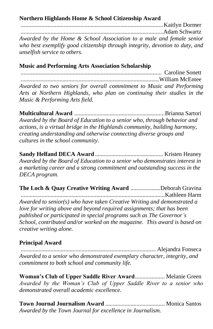# **Northern Highlands Home & School Citizenship Award**

................................................................................................Kaitlyn Dormer ................................................................................................Adam Schwartz *Awarded by the Home & School Association to a male and female senior who best exemplify good citizenship through integrity, devotion to duty, and unselfish service to others.*

# **Music and Performing Arts Association Scholarship**.

............................................................................................... Caroline Sonett .............................................................................................William McEntee *Awarded to two seniors for overall commitment to Music and Performing Arts at Northern Highlands, who plan on continuing their studies in the Music & Performing Arts field.*

**Multicultural Award** .............................................................Brianna Sartori *Awarded by the Board of Education to a senior who, through behavior and actions, is a virtual bridge in the Highlands community, building harmony, creating understanding and otherwise connecting diverse groups and cultures in the school community.*

**Sandy Helfand DECA Award** .............................................. Kristen Heaney *Awarded by the Board of Education to a senior who demonstrates interest in a marketing career and a strong commitment and outstanding success in the DECA program.*

**The Loch & Quay Creative Writing Award** ....................Deborah Gravina .................................................................................................Kathleen Harm *Awarded to senior(s) who have taken Creative Writing and demonstrated a love for writing above and beyond required assignments; that has been published or participated in special programs such as The Governor's School, contributed and/or worked on the magazine. This award is based on creative writing alone.*

# **Principal Award**.

........................................................................................... Alejandra Fonseca *Awarded to a senior who demonstrated exemplary character, integrity, and commitment to both school and community life.*

**Woman's Club of Upper Saddle River Award**.................... Melanie Green *Awarded by the Woman's Club of Upper Saddle River to a senior who demonstrated overall academic excellence.*

**Town Journal Journalism Award** ........................................ Monica Santos *Awarded by the Town Journal for excellence in Journalism.*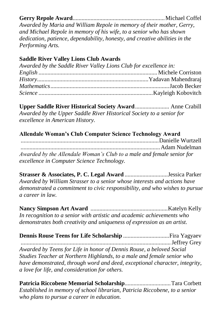# **Gerry Repole Award**..............................................................Michael Coffel

*Awarded by Maria and William Repole in memory of their mother, Gerry, and Michael Repole in memory of his wife, to a senior who has shown dedication, patience, dependability, honesty, and creative abilities in the Performing Arts.*

# **Saddle River Valley Lions Club Awards**

| Awarded by the Saddle River Valley Lions Club for excellence in: |  |
|------------------------------------------------------------------|--|
|                                                                  |  |
|                                                                  |  |
|                                                                  |  |
|                                                                  |  |

**Upper Saddle River Historical Society Award**....................... Anne Crabill *Awarded by the Upper Saddle River Historical Society to a senior for excellence in American History.*

# **Allendale Woman's Club Computer Science Technology Award**

.............................................................................................Danielle Wurtzell *..............................................................................................*Adam Nudelman *Awarded by the Allendale Woman's Club to a male and female senior for excellence in Computer Science Technology.*

**Strasser & Associates, P. C. Legal Award** .............................Jessica Parker *Awarded by William Strasser to a senior whose interests and actions have demonstrated a commitment to civic responsibility, and who wishes to pursue a career in law.*

**Nancy Simpson Art Award** ....................................................Katelyn Kelly *In recognition to a senior with artistic and academic achievements who demonstrates both creativity and uniqueness of expression as an artist.*

| Awarded by Teens for Life in honor of Dennis Rouse, a beloved Social        |  |
|-----------------------------------------------------------------------------|--|
| Studies Teacher at Northern Highlands, to a male and female senior who      |  |
| have demonstrated, through word and deed, exceptional character, integrity, |  |
| a love for life, and consideration for others.                              |  |

**Patricia Riccobene Memorial Scholarship**...............................Tara Corbett *Established in memory of school librarian, Patricia Riccobene, to a senior who plans to pursue a career in education.*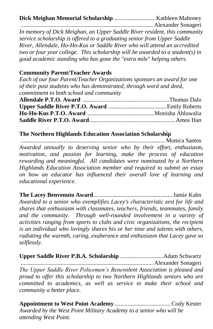**Dick Meighan Memorial Scholarship** ............................Kathleen Mahoney

......................................................................................... Alexander Sonageri *In memory of Dick Meighan, an Upper Saddle River resident, this community service scholarship is offered to a graduating senior from Upper Saddle River, Allendale, Ho-Ho-Kus or Saddle River who will attend an accredited two or four year college. This scholarship will be awarded to a student(s) in good academic standing who has gone the "extra mile" helping others.*

### **Community Parent/Teacher Awards**

*Each of our four Parent/Teacher Organizations sponsors an award for one of their past students who has demonstrated, through word and deed, commitment to both school and community*

### **The Northern Highlands Education Association Scholarship**

................................................................................................. Monica Santos *Awarded annually to deserving senior who by their effort, enthusiasm, motivation, and passion for learning, make the process of education rewarding and meaningful. All candidates were nominated by a Northern Highlands Education Association member and required to submit an essay on how an educator has influenced their overall love of learning and educational experience.*

**The Lacey Benvenuto Award**.....................................................Jamie Kahn *Awarded to a senior who exemplifies Lacey's characteristic zest for life and shares that enthusiasm with classmates, teachers, friends, teammates, family and the community. Through well-rounded involvement in a variety of activities ranging from sports to clubs and civic organizations, the recipient is an individual who lovingly shares his or her time and talents with others, radiating the warmth, caring, exuberance and enthusiasm that Lacey gave so selflessly.*

**Upper Saddle River P.B.A. Scholarship** .............................Adam Schwartz ......................................................................................... Alexander Sonageri *The Upper Saddle River Policemen's Benevolent Association is pleased and proud to offer this scholarship to two Northern Highlands seniors who are committed to academics, as well as service to make their school and community a better place.*

**Appointment to West Point Academy**......................................Cody Kester *Awarded by the West Point Military Academy to a senior who will be attending West Point.*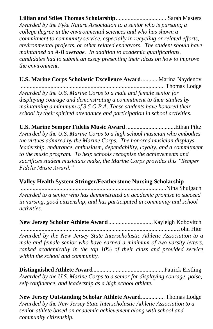**Lillian and Stiles Thomas Scholarship**.................................. Sarah Masters *Awarded by the Fyke Nature Association to a senior who is pursuing a college degree in the environmental sciences and who has shown a commitment to community service, especially in recycling or related efforts, environmental projects, or other related endeavors. The student should have maintained an A-B average. In addition to academic qualifications, candidates had to submit an essay presenting their ideas on how to improve the environment.*

**U.S. Marine Corps Scholastic Excellence Award**........... Marina Naydenov ................................................................................................. Thomas Lodge *Awarded by the U.S. Marine Corps to a male and female senior for displaying courage and demonstrating a commitment to their studies by maintaining a minimum of 3.5 G.P.A. These students have honored their school by their spirited attendance and participation in school activities.* 

**U.S. Marine Semper Fidelis Music Award** .................................Ethan Piltz *Awarded by the U.S. Marine Corps to a high school musician who embodies the virtues admired by the Marine Corps. The honored musician displays leadership, endurance, enthusiasm, dependability, loyalty, and a commitment to the music program. To help schools recognize the achievements and sacrifices student musicians make, the Marine Corps provides this "Semper Fidelis Music Award."* 

# **Valley Health System Stringer/Featherstone Nursing Scholarship**

..................................................................................................Nina Shulgach *Awarded to a senior who has demonstrated an academic promise to succeed in nursing, good citizenship, and has participated in community and school activities.*

**New Jersey Scholar Athlete Award**..............................Kayleigh Kobovitch ..........................................................................................................John Hite

*Awarded by the New Jersey State Interscholastic Athletic Association to a male and female senior who have earned a minimum of two varsity letters, ranked academically in the top 10% of their class and provided service within the school and community.*

**Distinguished Athlete Award** ............................................... Patrick Erstling *Awarded by the U.S. Marine Corps to a senior for displaying courage, poise, self-confidence, and leadership as a high school athlete.*

**New Jersey Outstanding Scholar Athlete Award**................ Thomas Lodge *Awarded by the New Jersey State Interscholastic Athletic Association to a senior athlete based on academic achievement along with school and community citizenship.*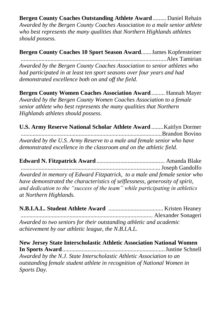**Bergen County Coaches Outstanding Athlete Award** ......... Daniel Rehain *Awarded by the Bergen County Coaches Association to a male senior athlete who best represents the many qualities that Northern Highlands athletes should possess.*

**Bergen County Coaches 10 Sport Season Award**.......James Kopfensteiner ..................................................................................................Alex Tamirian *Awarded by the Bergen County Coaches Association to senior athletes who had participated in at least ten sport seasons over four years and had demonstrated excellence both on and off the field.*

**Bergen County Women Coaches Association Award**......... Hannah Mayer *Awarded by the Bergen County Women Coaches Association to a female senior athlete who best represents the many qualities that Northern Highlands athletes should possess.*

**U.S. Army Reserve National Scholar Athlete Award** ........Kaitlyn Dormer ...............................................................................................Brandon Bovino *Awarded by the U.S. Army Reserve to a male and female senior who have demonstrated excellence in the classroom and on the athletic field.* 

**Edward N. Fitzpatrick Award**.............................................. Amanda Blake ..............................................................................................Joseph Gandolfo *Awarded in memory of Edward Fitzpatrick, to a male and female senior who have demonstrated the characteristics of selflessness, generosity of spirit, and dedication to the "success of the team" while participating in athletics at Northern Highlands.*

| Awarded to two seniors for their outstanding athletic and academic |  |
|--------------------------------------------------------------------|--|
| achievement by our athletic league, the N.B.I.A.L.                 |  |

**New Jersey State Interscholastic Athletic Association National Women In Sports Award**.....................................................................Justine Schnell *Awarded by the N.J. State Interscholastic Athletic Association to an outstanding female student athlete in recognition of National Women in Sports Day.*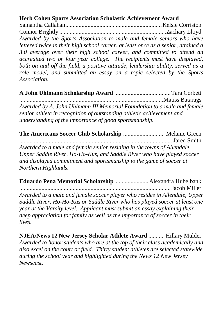# **Herb Cohen Sports Association Scholastic Achievement Award**

Samantha Callahan.................................................................Kelsie Corriston Connor Brightly ........................................................................Zachary Lloyd *Awarded by the Sports Association to male and female seniors who have lettered twice in their high school career, at least once as a senior, attained a 3.0 average over their high school career, and committed to attend an accredited two or four year college. The recipients must have displayed, both on and off the field, a positive attitude, leadership ability, served as a role model, and submitted an essay on a topic selected by the Sports Association.*

**A John Uhlmann Scholarship Award** .....................................Tara Corbett ................................................................................................Matiss Batarags *Awarded by A. John Uhlmann III Memorial Foundation to a male and female senior athlete in recognition of outstanding athletic achievement and understanding of the importance of good sportsmanship.*

**The Americans Soccer Club Scholarship** ............................ Melanie Green *......................................................................................................*Jared Smith *Awarded to a male and female senior residing in the towns of Allendale, Upper Saddle River, Ho-Ho-Kus, and Saddle River who have played soccer and displayed commitment and sportsmanship to the game of soccer at Northern Highlands.*

**Eduardo Pena Memorial Scholarship** ......................Alexandra Hubelbank .....................................................................................................Jacob Miller *Awarded to a male and female soccer player who resides in Allendale, Upper Saddle River, Ho-Ho-Kus or Saddle River who has played soccer at least one year at the Varsity level. Applicant must submit an essay explaining their deep appreciation for family as well as the importance of soccer in their lives.* 

**NJEA/News 12 New Jersey Scholar Athlete Award** ........... Hillary Mulder *Awarded to honor students who are at the top of their class academically and also excel on the court or field. Thirty student athletes are selected statewide during the school year and highlighted during the News 12 New Jersey Newscast.*